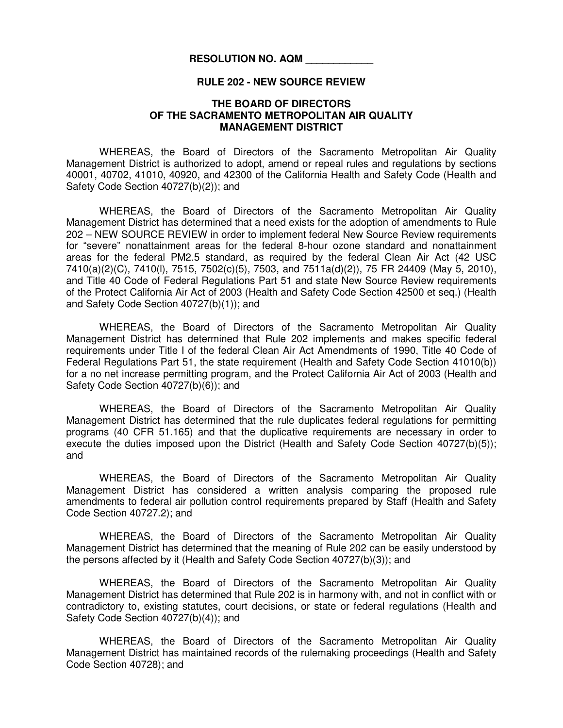## **RESOLUTION NO. AQM \_\_\_\_\_\_\_\_\_\_\_\_**

## **RULE 202 - NEW SOURCE REVIEW**

## **THE BOARD OF DIRECTORS OF THE SACRAMENTO METROPOLITAN AIR QUALITY MANAGEMENT DISTRICT**

WHEREAS, the Board of Directors of the Sacramento Metropolitan Air Quality Management District is authorized to adopt, amend or repeal rules and regulations by sections 40001, 40702, 41010, 40920, and 42300 of the California Health and Safety Code (Health and Safety Code Section 40727(b)(2)); and

WHEREAS, the Board of Directors of the Sacramento Metropolitan Air Quality Management District has determined that a need exists for the adoption of amendments to Rule 202 – NEW SOURCE REVIEW in order to implement federal New Source Review requirements for "severe" nonattainment areas for the federal 8-hour ozone standard and nonattainment areas for the federal PM2.5 standard, as required by the federal Clean Air Act (42 USC 7410(a)(2)(C), 7410(l), 7515, 7502(c)(5), 7503, and 7511a(d)(2)), 75 FR 24409 (May 5, 2010), and Title 40 Code of Federal Regulations Part 51 and state New Source Review requirements of the Protect California Air Act of 2003 (Health and Safety Code Section 42500 et seq.) (Health and Safety Code Section 40727(b)(1)); and

WHEREAS, the Board of Directors of the Sacramento Metropolitan Air Quality Management District has determined that Rule 202 implements and makes specific federal requirements under Title I of the federal Clean Air Act Amendments of 1990, Title 40 Code of Federal Regulations Part 51, the state requirement (Health and Safety Code Section 41010(b)) for a no net increase permitting program, and the Protect California Air Act of 2003 (Health and Safety Code Section 40727(b)(6)); and

WHEREAS, the Board of Directors of the Sacramento Metropolitan Air Quality Management District has determined that the rule duplicates federal regulations for permitting programs (40 CFR 51.165) and that the duplicative requirements are necessary in order to execute the duties imposed upon the District (Health and Safety Code Section 40727(b)(5)); and

WHEREAS, the Board of Directors of the Sacramento Metropolitan Air Quality Management District has considered a written analysis comparing the proposed rule amendments to federal air pollution control requirements prepared by Staff (Health and Safety Code Section 40727.2); and

WHEREAS, the Board of Directors of the Sacramento Metropolitan Air Quality Management District has determined that the meaning of Rule 202 can be easily understood by the persons affected by it (Health and Safety Code Section 40727(b)(3)); and

WHEREAS, the Board of Directors of the Sacramento Metropolitan Air Quality Management District has determined that Rule 202 is in harmony with, and not in conflict with or contradictory to, existing statutes, court decisions, or state or federal regulations (Health and Safety Code Section 40727(b)(4)); and

WHEREAS, the Board of Directors of the Sacramento Metropolitan Air Quality Management District has maintained records of the rulemaking proceedings (Health and Safety Code Section 40728); and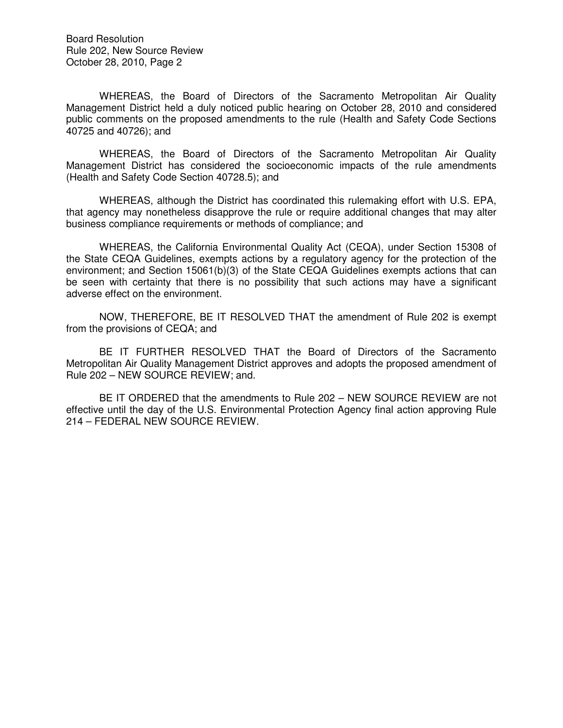Board Resolution Rule 202, New Source Review October 28, 2010, Page 2

WHEREAS, the Board of Directors of the Sacramento Metropolitan Air Quality Management District held a duly noticed public hearing on October 28, 2010 and considered public comments on the proposed amendments to the rule (Health and Safety Code Sections 40725 and 40726); and

WHEREAS, the Board of Directors of the Sacramento Metropolitan Air Quality Management District has considered the socioeconomic impacts of the rule amendments (Health and Safety Code Section 40728.5); and

WHEREAS, although the District has coordinated this rulemaking effort with U.S. EPA, that agency may nonetheless disapprove the rule or require additional changes that may alter business compliance requirements or methods of compliance; and

WHEREAS, the California Environmental Quality Act (CEQA), under Section 15308 of the State CEQA Guidelines, exempts actions by a regulatory agency for the protection of the environment; and Section 15061(b)(3) of the State CEQA Guidelines exempts actions that can be seen with certainty that there is no possibility that such actions may have a significant adverse effect on the environment.

NOW, THEREFORE, BE IT RESOLVED THAT the amendment of Rule 202 is exempt from the provisions of CEQA; and

BE IT FURTHER RESOLVED THAT the Board of Directors of the Sacramento Metropolitan Air Quality Management District approves and adopts the proposed amendment of Rule 202 – NEW SOURCE REVIEW; and.

BE IT ORDERED that the amendments to Rule 202 – NEW SOURCE REVIEW are not effective until the day of the U.S. Environmental Protection Agency final action approving Rule 214 – FEDERAL NEW SOURCE REVIEW.